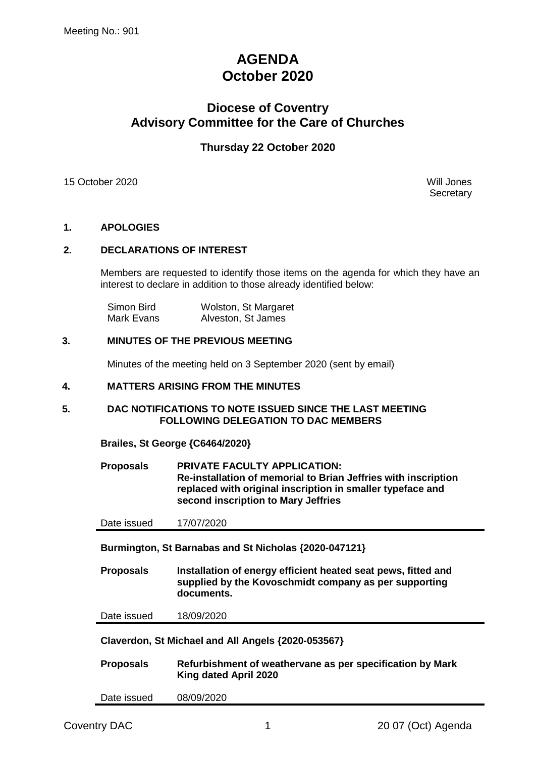# **AGENDA October 2020**

## **Diocese of Coventry Advisory Committee for the Care of Churches**

## **Thursday 22 October 2020**

15 October 2020 Will Jones

**Secretary** 

### **1. APOLOGIES**

#### **2. DECLARATIONS OF INTEREST**

Members are requested to identify those items on the agenda for which they have an interest to declare in addition to those already identified below:

| Simon Bird | Wolston, St Margaret |
|------------|----------------------|
| Mark Evans | Alveston, St James   |

#### **3. MINUTES OF THE PREVIOUS MEETING**

Minutes of the meeting held on 3 September 2020 (sent by email)

#### **4. MATTERS ARISING FROM THE MINUTES**

#### **5. DAC NOTIFICATIONS TO NOTE ISSUED SINCE THE LAST MEETING FOLLOWING DELEGATION TO DAC MEMBERS**

**Brailes, St George {C6464/2020}**

**Proposals PRIVATE FACULTY APPLICATION: Re-installation of memorial to Brian Jeffries with inscription replaced with original inscription in smaller typeface and second inscription to Mary Jeffries**

Date issued 17/07/2020

**Burmington, St Barnabas and St Nicholas {2020-047121}**

**Proposals Installation of energy efficient heated seat pews, fitted and supplied by the Kovoschmidt company as per supporting documents.**

Date issued 18/09/2020

**Claverdon, St Michael and All Angels {2020-053567}**

| <b>Proposals</b> | Refurbishment of weathervane as per specification by Mark |
|------------------|-----------------------------------------------------------|
|                  | King dated April 2020                                     |

Date issued 08/09/2020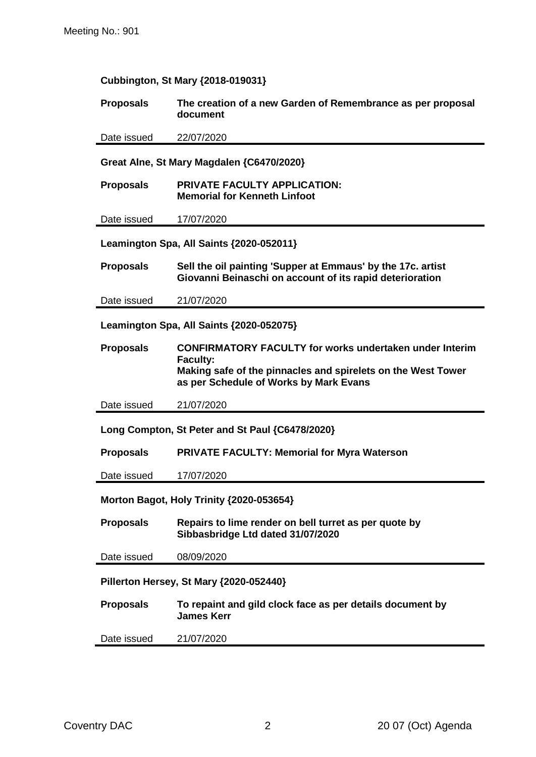| Cubbington, St Mary {2018-019031} |  |  |  |
|-----------------------------------|--|--|--|
|                                   |  |  |  |

#### **Proposals The creation of a new Garden of Remembrance as per proposal document**

Date issued 22/07/2020

**Great Alne, St Mary Magdalen {C6470/2020}**

**Proposals PRIVATE FACULTY APPLICATION: Memorial for Kenneth Linfoot**

Date issued 17/07/2020

**Leamington Spa, All Saints {2020-052011}**

**Proposals Sell the oil painting 'Supper at Emmaus' by the 17c. artist Giovanni Beinaschi on account of its rapid deterioration**

Date issued 21/07/2020

**Leamington Spa, All Saints {2020-052075}**

**Proposals CONFIRMATORY FACULTY for works undertaken under Interim Faculty: Making safe of the pinnacles and spirelets on the West Tower as per Schedule of Works by Mark Evans**

Date issued 21/07/2020

**Long Compton, St Peter and St Paul {C6478/2020}**

**Proposals PRIVATE FACULTY: Memorial for Myra Waterson**

Date issued 17/07/2020

**Morton Bagot, Holy Trinity {2020-053654}**

**Proposals Repairs to lime render on bell turret as per quote by Sibbasbridge Ltd dated 31/07/2020**

Date issued 08/09/2020

**Pillerton Hersey, St Mary {2020-052440}**

**Proposals To repaint and gild clock face as per details document by James Kerr**

Date issued 21/07/2020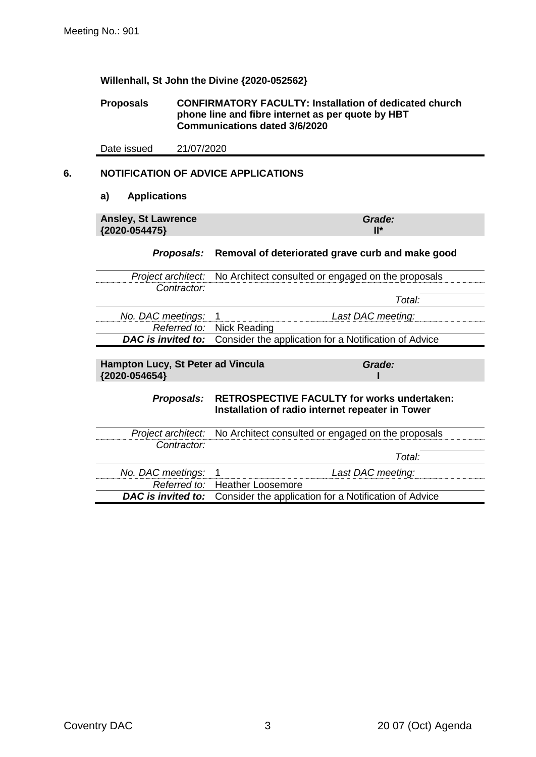#### **Willenhall, St John the Divine {2020-052562}**

#### **Proposals CONFIRMATORY FACULTY: Installation of dedicated church phone line and fibre internet as per quote by HBT Communications dated 3/6/2020**

Date issued 21/07/2020

## **6. NOTIFICATION OF ADVICE APPLICATIONS**

#### **a) Applications**

**Ansley, St Lawrence {2020-054475}**

*Grade:* **II\***

#### *Proposals:* **Removal of deteriorated grave curb and make good**

|                     | <i>Project architect:</i> No Architect consulted or engaged on the proposals    |
|---------------------|---------------------------------------------------------------------------------|
| Contractor:         |                                                                                 |
|                     | Total:                                                                          |
| No. DAC meetings: 1 | Last DAC meeting:                                                               |
|                     | Referred to: Nick Reading                                                       |
|                     | <b>DAC is invited to:</b> Consider the application for a Notification of Advice |

**Hampton Lucy, St Peter ad Vincula {2020-054654}**

*Grade:* **I**

#### *Proposals:* **RETROSPECTIVE FACULTY for works undertaken: Installation of radio internet repeater in Tower**

|                     | Project architect: No Architect consulted or engaged on the proposals                  |
|---------------------|----------------------------------------------------------------------------------------|
| Contractor:         |                                                                                        |
|                     | Total:                                                                                 |
| No. DAC meetings: 1 | Last DAC meeting:                                                                      |
|                     | Referred to: Heather Loosemore                                                         |
|                     | <b>DAC</b> is <i>invited to:</i> Consider the application for a Notification of Advice |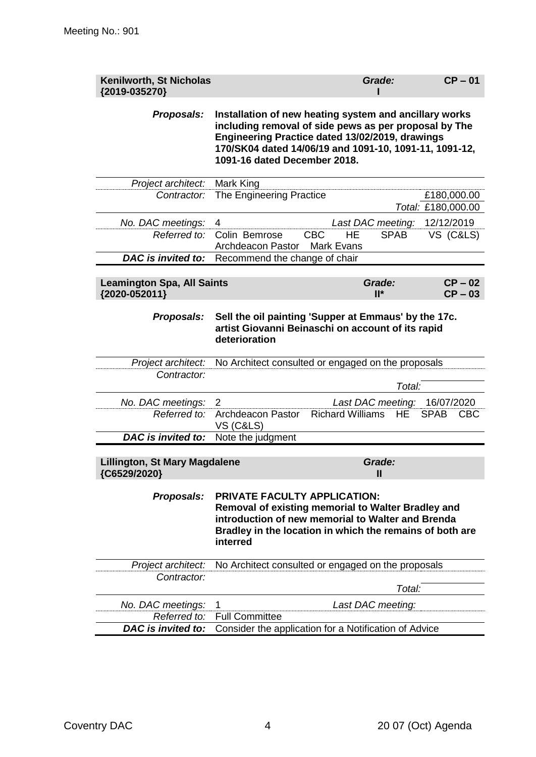| Kenilworth, St Nicholas<br>{2019-035270}             |                                                                                                                                                                                                                                                              | Grade:                               | $CP - 01$                         |
|------------------------------------------------------|--------------------------------------------------------------------------------------------------------------------------------------------------------------------------------------------------------------------------------------------------------------|--------------------------------------|-----------------------------------|
| Proposals:                                           | Installation of new heating system and ancillary works<br>including removal of side pews as per proposal by The<br>Engineering Practice dated 13/02/2019, drawings<br>170/SK04 dated 14/06/19 and 1091-10, 1091-11, 1091-12,<br>1091-16 dated December 2018. |                                      |                                   |
| Project architect:                                   | Mark King                                                                                                                                                                                                                                                    |                                      |                                   |
| Contractor:                                          | The Engineering Practice                                                                                                                                                                                                                                     |                                      | £180,000.00<br>Total: £180,000.00 |
| No. DAC meetings:                                    | 4                                                                                                                                                                                                                                                            | Last DAC meeting:                    | 12/12/2019                        |
| Referred to:                                         | Colin Bemrose<br><b>CBC</b><br>Archdeacon Pastor<br><b>Mark Evans</b>                                                                                                                                                                                        | <b>HE</b><br><b>SPAB</b>             | VS (C&LS)                         |
| DAC is invited to:                                   | Recommend the change of chair                                                                                                                                                                                                                                |                                      |                                   |
|                                                      |                                                                                                                                                                                                                                                              |                                      |                                   |
| <b>Leamington Spa, All Saints</b><br>{2020-052011}   |                                                                                                                                                                                                                                                              | Grade:<br>$II^*$                     | $CP - 02$<br>$CP - 03$            |
| Proposals:                                           | Sell the oil painting 'Supper at Emmaus' by the 17c.<br>artist Giovanni Beinaschi on account of its rapid<br>deterioration                                                                                                                                   |                                      |                                   |
| Project architect:                                   | No Architect consulted or engaged on the proposals                                                                                                                                                                                                           |                                      |                                   |
| Contractor:                                          |                                                                                                                                                                                                                                                              |                                      |                                   |
|                                                      |                                                                                                                                                                                                                                                              | Total:                               |                                   |
| No. DAC meetings:                                    | 2                                                                                                                                                                                                                                                            | Last DAC meeting: 16/07/2020         |                                   |
| Referred to:                                         | <b>Archdeacon Pastor</b><br><b>VS (C&amp;LS)</b>                                                                                                                                                                                                             | <b>Richard Williams</b><br><b>HE</b> | <b>SPAB</b><br><b>CBC</b>         |
| <b>DAC</b> is invited to:                            | Note the judgment                                                                                                                                                                                                                                            |                                      |                                   |
|                                                      |                                                                                                                                                                                                                                                              |                                      |                                   |
| <b>Lillington, St Mary Magdalene</b><br>{C6529/2020} |                                                                                                                                                                                                                                                              | Grade:<br>$\mathbf{I}$               |                                   |
| Proposals:                                           | <b>PRIVATE FACULTY APPLICATION:</b><br>Removal of existing memorial to Walter Bradley and<br>introduction of new memorial to Walter and Brenda<br>Bradley in the location in which the remains of both are<br>interred                                       |                                      |                                   |
| Project architect:                                   | No Architect consulted or engaged on the proposals                                                                                                                                                                                                           |                                      |                                   |
| Contractor:                                          |                                                                                                                                                                                                                                                              |                                      |                                   |
|                                                      |                                                                                                                                                                                                                                                              | Total:                               |                                   |
| No. DAC meetings:                                    | 1                                                                                                                                                                                                                                                            | Last DAC meeting:                    |                                   |
| Referred to:                                         | <b>Full Committee</b>                                                                                                                                                                                                                                        |                                      |                                   |
| DAC is invited to:                                   | Consider the application for a Notification of Advice                                                                                                                                                                                                        |                                      |                                   |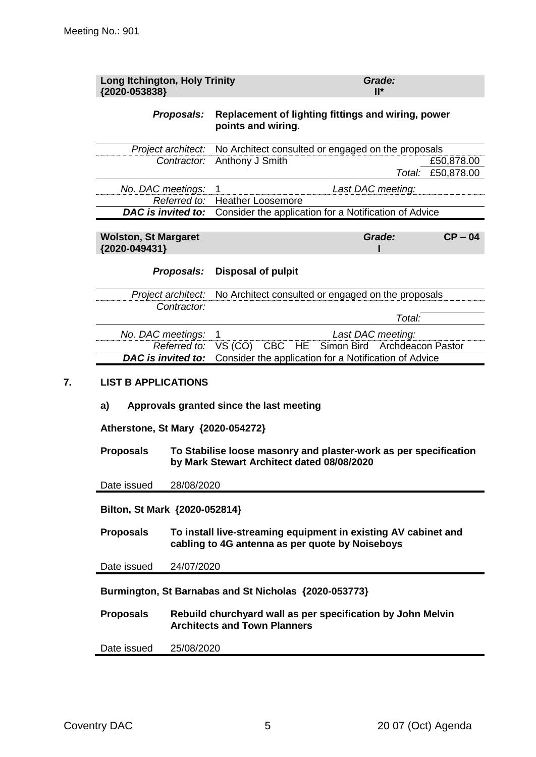| <b>Long Itchington, Holy Trinity</b><br>{2020-053838}                                     |              |                                                                                                                                                            |                  | Grade:<br>$II^*$         |                          |
|-------------------------------------------------------------------------------------------|--------------|------------------------------------------------------------------------------------------------------------------------------------------------------------|------------------|--------------------------|--------------------------|
|                                                                                           | Proposals:   | Replacement of lighting fittings and wiring, power<br>points and wiring.                                                                                   |                  |                          |                          |
| Project architect:                                                                        |              | No Architect consulted or engaged on the proposals                                                                                                         |                  |                          |                          |
|                                                                                           | Contractor:  | Anthony J Smith                                                                                                                                            |                  | Total:                   | £50,878.00<br>£50,878.00 |
| No. DAC meetings:                                                                         |              | 1                                                                                                                                                          |                  | Last DAC meeting:        |                          |
|                                                                                           | Referred to: | <b>Heather Loosemore</b>                                                                                                                                   |                  |                          |                          |
| DAC is invited to:                                                                        |              | Consider the application for a Notification of Advice                                                                                                      |                  |                          |                          |
| <b>Wolston, St Margaret</b><br>{2020-049431}                                              |              |                                                                                                                                                            |                  | Grade:                   | $CP - 04$                |
|                                                                                           | Proposals:   | <b>Disposal of pulpit</b>                                                                                                                                  |                  |                          |                          |
| Project architect:                                                                        |              | No Architect consulted or engaged on the proposals                                                                                                         |                  |                          |                          |
|                                                                                           | Contractor:  |                                                                                                                                                            |                  | Total:                   |                          |
| No. DAC meetings:                                                                         |              | 1                                                                                                                                                          |                  | Last DAC meeting:        |                          |
|                                                                                           | Referred to: | VS (CO)<br><b>CBC</b>                                                                                                                                      | Simon Bird<br>HE | <b>Archdeacon Pastor</b> |                          |
| <b>DAC</b> is invited to:                                                                 |              | Consider the application for a Notification of Advice                                                                                                      |                  |                          |                          |
| <b>LIST B APPLICATIONS</b><br>a)<br>Atherstone, St Mary {2020-054272}<br><b>Proposals</b> |              | Approvals granted since the last meeting<br>To Stabilise loose masonry and plaster-work as per specification<br>by Mark Stewart Architect dated 08/08/2020 |                  |                          |                          |
| Date issued                                                                               | 28/08/2020   |                                                                                                                                                            |                  |                          |                          |
| Bilton, St Mark {2020-052814}                                                             |              |                                                                                                                                                            |                  |                          |                          |
| <b>Proposals</b>                                                                          |              | To install live-streaming equipment in existing AV cabinet and<br>cabling to 4G antenna as per quote by Noiseboys                                          |                  |                          |                          |
| Date issued                                                                               | 24/07/2020   |                                                                                                                                                            |                  |                          |                          |

**Burmington, St Barnabas and St Nicholas {2020-053773}**

**Proposals Rebuild churchyard wall as per specification by John Melvin Architects and Town Planners**

Date issued 25/08/2020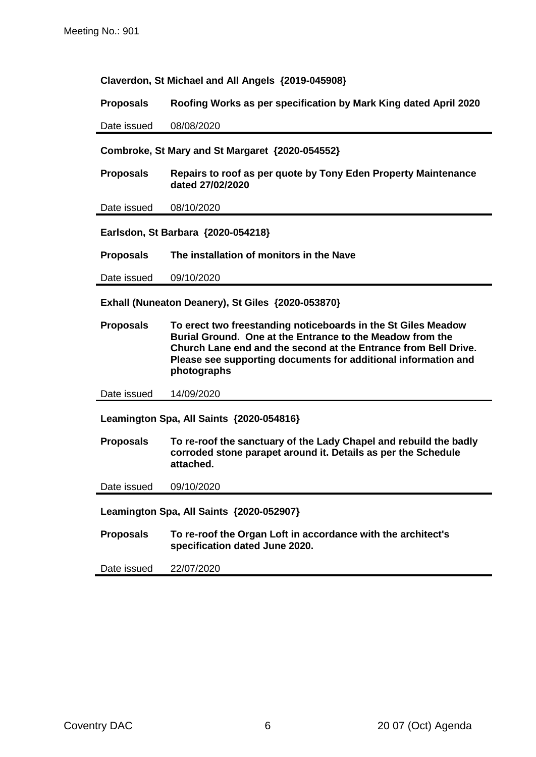**Claverdon, St Michael and All Angels {2019-045908}**

**Proposals Roofing Works as per specification by Mark King dated April 2020**

Date issued 08/08/2020

#### **Combroke, St Mary and St Margaret {2020-054552}**

**Proposals Repairs to roof as per quote by Tony Eden Property Maintenance dated 27/02/2020**

Date issued 08/10/2020

**Earlsdon, St Barbara {2020-054218}**

**Proposals The installation of monitors in the Nave**

Date issued 09/10/2020

**Exhall (Nuneaton Deanery), St Giles {2020-053870}**

**Proposals To erect two freestanding noticeboards in the St Giles Meadow Burial Ground. One at the Entrance to the Meadow from the Church Lane end and the second at the Entrance from Bell Drive. Please see supporting documents for additional information and photographs**

Date issued 14/09/2020

**Leamington Spa, All Saints {2020-054816}**

**Proposals To re-roof the sanctuary of the Lady Chapel and rebuild the badly corroded stone parapet around it. Details as per the Schedule attached.**

Date issued 09/10/2020

**Leamington Spa, All Saints {2020-052907}**

**Proposals To re-roof the Organ Loft in accordance with the architect's specification dated June 2020.**

Date issued 22/07/2020